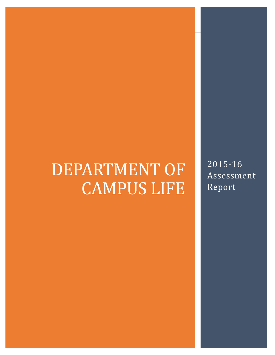# DEPARTMENT OF CAMPUS LIFE

2015-16 Assessment Report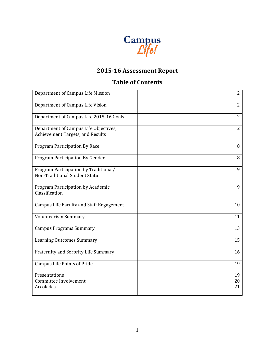

# **2015-16 Assessment Report**

# **Table of Contents**

| Department of Campus Life Mission                                         | $\overline{2}$ |
|---------------------------------------------------------------------------|----------------|
| Department of Campus Life Vision                                          | $\overline{2}$ |
| Department of Campus Life 2015-16 Goals                                   | $\overline{2}$ |
| Department of Campus Life Objectives,<br>Achievement Targets, and Results | $\overline{2}$ |
| Program Participation By Race                                             | 8              |
| Program Participation By Gender                                           | 8              |
| Program Participation by Traditional/<br>Non-Traditional Student Status   | 9              |
| Program Participation by Academic<br>Classification                       | 9              |
| Campus Life Faculty and Staff Engagement                                  | 10             |
| <b>Volunteerism Summary</b>                                               | 11             |
| <b>Campus Programs Summary</b>                                            | 13             |
| <b>Learning Outcomes Summary</b>                                          | 15             |
| Fraternity and Sorority Life Summary                                      | 16             |
| <b>Campus Life Points of Pride</b>                                        | 19             |
| Presentations<br>Committee Involvement<br>Accolades                       | 19<br>20<br>21 |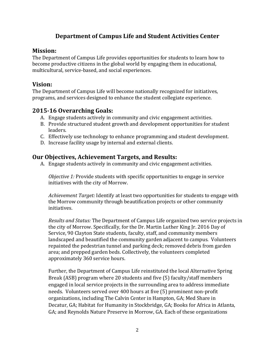# **Department of Campus Life and Student Activities Center**

#### **Mission:**

The Department of Campus Life provides opportunities for students to learn how to become productive citizens in the global world by engaging them in educational, multicultural, service-based, and social experiences.

## **Vision:**

The Department of Campus Life will become nationally recognized for initiatives, programs, and services designed to enhance the student collegiate experience.

#### **2015-16 Overarching Goals:**

- A. Engage students actively in community and civic engagement activities.
- B. Provide structured student growth and development opportunities for student leaders.
- C. Effectively use technology to enhance programming and student development.
- D. Increase facility usage by internal and external clients.

## **Our Objectives, Achievement Targets, and Results:**

A. Engage students actively in community and civic engagement activities.

*Objective 1:* Provide students with specific opportunities to engage in service initiatives with the city of Morrow.

*Achievement Target:* Identify at least two opportunities for students to engage with the Morrow community through beautification projects or other community initiatives.

*Results and Status:* The Department of Campus Life organized two service projects in the city of Morrow. Specifically, for the Dr. Martin Luther King Jr. 2016 Day of Service, 90 Clayton State students, faculty, staff, and community members landscaped and beautified the community garden adjacent to campus. Volunteers repainted the pedestrian tunnel and parking deck; removed debris from garden area; and prepped garden beds. Collectively, the volunteers completed approximately 360 service hours.

Further, the Department of Campus Life reinstituted the local Alternative Spring Break (ASB) program where 20 students and five (5) faculty/staff members engaged in local service projects in the surrounding area to address immediate needs. Volunteers served over 400 hours at five (5) prominent non-profit organizations, including The Calvin Center in Hampton, GA; Med Share in Decatur, GA; Habitat for Humanity in Stockbridge, GA; Books for Africa in Atlanta, GA; and Reynolds Nature Preserve in Morrow, GA. Each of these organizations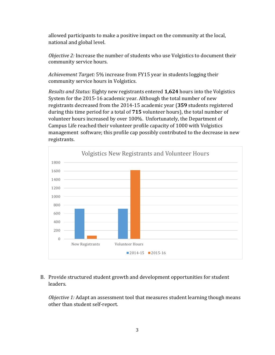allowed participants to make a positive impact on the community at the local, national and global level.

*Objective 2:* Increase the number of students who use Volgistics to document their community service hours*.*

*Achievement Target:* 5% increase from FY15 year in students logging their community service hours in Volgistics.

*Results and Status:* Eighty new registrants entered **1,624** hours into the Volgistics System for the 2015-16 academic year. Although the total number of new registrants decreased from the 2014-15 academic year (**359** students registered during this time period for a total of **715** volunteer hours), the total number of volunteer hours increased by over 100%. Unfortunately, the Department of Campus Life reached their volunteer profile capacity of 1000 with Volgistics management software; this profile cap possibly contributed to the decrease in new registrants.



#### B. Provide structured student growth and development opportunities for student leaders.

*Objective 1:* Adapt an assessment tool that measures student learning though means other than student self-report*.*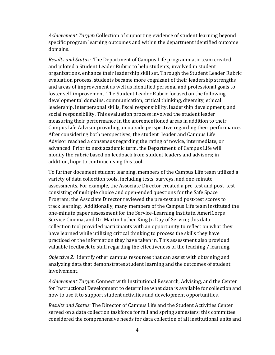*Achievement Target:* Collection of supporting evidence of student learning beyond specific program learning outcomes and within the department identified outcome domains.

*Results and Status:* The Department of Campus Life programmatic team created and piloted a Student Leader Rubric to help students, involved in student organizations, enhance their leadership skill set. Through the Student Leader Rubric evaluation process, students became more cognizant of their leadership strengths and areas of improvement as well as identified personal and professional goals to foster self-improvement. The Student Leader Rubric focused on the following developmental domains: communication, critical thinking, diversity, ethical leadership, interpersonal skills, fiscal responsibility, leadership development, and social responsibility. This evaluation process involved the student leader measuring their performance in the aforementioned areas in addition to their Campus Life Advisor providing an outside perspective regarding their performance. After considering both perspectives, the student leader and Campus Life Advisor reached a consensus regarding the rating of novice, intermediate, or advanced. Prior to next academic term, the Department of Campus Life will modify the rubric based on feedback from student leaders and advisors; in addition, hope to continue using this tool.

To further document student learning, members of the Campus Life team utilized a variety of data collection tools, including tests, surveys, and one-minute assessments. For example, the Associate Director created a pre-test and post-test consisting of multiple choice and open-ended questions for the Safe Space Program; the Associate Director reviewed the pre-test and post-test scores to track learning. Additionally, many members of the Campus Life team instituted the one-minute paper assessment for the Service-Learning Institute, AmeriCorps Service Cinema, and Dr. Martin Luther King Jr. Day of Service; this data collection tool provided participants with an opportunity to reflect on what they have learned while utilizing critical thinking to process the skills they have practiced or the information they have taken in. This assessment also provided valuable feedback to staff regarding the effectiveness of the teaching / learning.

*Objective 2:* Identify other campus resources that can assist with obtaining and analyzing data that demonstrates student learning and the outcomes of student involvement.

*Achievement Target:* Connect with Institutional Research, Advising, and the Center for Instructional Development to determine what data is available for collection and how to use it to support student activities and development opportunities.

*Results and Status:* The Director of Campus Life and the Student Activities Center served on a data collection taskforce for fall and spring semesters; this committee considered the comprehensive needs for data collection of all institutional units and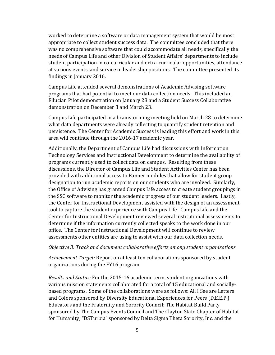worked to determine a software or data management system that would be most appropriate to collect student success data. The committee concluded that there was no comprehensive software that could accommodate all needs, specifically the needs of Campus Life and other Division of Student Affairs' departments to include student participation in co-curricular and extra-curricular opportunities, attendance at various events, and service in leadership positions. The committee presented its findings in January 2016.

Campus Life attended several demonstrations of Academic Advising software programs that had potential to meet our data collection needs. This included an Ellucian Pilot demonstration on January 28 and a Student Success Collaborative demonstration on December 3 and March 23.

Campus Life participated in a brainstorming meeting held on March 28 to determine what data departments were already collecting to quantify student retention and persistence. The Center for Academic Success is leading this effort and work in this area will continue through the 2016-17 academic year.

Additionally, the Department of Campus Life had discussions with Information Technology Services and Instructional Development to determine the availability of programs currently used to collect data on campus. Resulting from these discussions, the Director of Campus Life and Student Activities Center has been provided with additional access to Banner modules that allow for student group designation to run academic reports on our students who are involved. Similarly, the Office of Advising has granted Campus Life access to create student groupings in the SSC software to monitor the academic progress of our student leaders. Lastly, the Center for Instructional Development assisted with the design of an assessment tool to capture the student experience with Campus Life. Campus Life and the Center for Instructional Development reviewed several institutional assessments to determine if the information currently collected speaks to the work done in our office. The Center for Instructional Development will continue to review assessments other entities are using to assist with our data collection needs.

#### *Objective 3: Track and document collaborative efforts among student organizations*

*Achievement Target:* Report on at least ten collaborations sponsored by student organizations during the FY16 program.

*Results and Status:* For the 2015-16 academic term, student organizations with various mission statements collaborated for a total of 15 educational and sociallybased programs. Some of the collaborations were as follows: All I See are Letters and Colors sponsored by Diversity Educational Experiences for Peers (D.E.E.P.) Educators and the Fraternity and Sorority Council; The Habitat Build Party sponsored by The Campus Events Council and The Clayton State Chapter of Habitat for Humanity; "DSTurbia" sponsored by Delta Sigma Theta Sorority, Inc. and the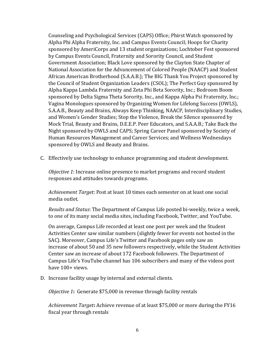Counseling and Psychological Services (CAPS) Office; Phirst Watch sponsored by Alpha Phi Alpha Fraternity, Inc. and Campus Events Council; Hoops for Charity sponsored by AmeriCorps and 13 student organizations; Lochtober Fest sponsored by Campus Events Council, Fraternity and Sorority Council, and Student Government Association; Black Love sponsored by the Clayton State Chapter of National Association for the Advancement of Colored People (NAACP) and Student African American Brotherhood (S.A.A.B.); The BIG Thank You Project sponsored by the Council of Student Organization Leaders (CSOL); The Perfect Guy sponsored by Alpha Kappa Lambda Fraternity and Zeta Phi Beta Sorority, Inc.; Bedroom Boom sponsored by Delta Sigma Theta Sorority, Inc., and Kappa Alpha Psi Fraternity, Inc.; Vagina Monologues sponsored by Organizing Women for Lifelong Success (OWLS), S.A.A.B., Beauty and Brains, Always Keep Thinking, NAACP, Interdisciplinary Studies, and Women's Gender Studies; Stop the Violence, Break the Silence sponsored by Mock Trial, Beauty and Brains, D.E.E.P. Peer Educators, and S.A.A.B.; Take Back the Night sponsored by OWLS and CAPS; Spring Career Panel sponsored by Society of Human Resources Management and Career Services; and Wellness Wednesdays sponsored by OWLS and Beauty and Brains.

C. Effectively use technology to enhance programming and student development.

*Objective 1*: Increase online presence to market programs and record student responses and attitudes towards programs.

*Achievement Target*: Post at least 10 times each semester on at least one social media outlet.

*Results and Status*: The Department of Campus Life posted bi-weekly, twice a week, to one of its many social media sites, including Facebook, Twitter, and YouTube.

On average, Campus Life recorded at least one post per week and the Student Activities Center saw similar numbers (slightly fewer for events not hosted in the SAC). Moreover, Campus Life's Twitter and Facebook pages only saw an increase of about 50 and 35 new followers respectively, while the Student Activities Center saw an increase of about 172 Facebook followers. The Department of Campus Life's YouTube channel has 106 subscribers and many of the videos post have 100+ views.

D. Increase facility usage by internal and external clients.

*Objective 1***:** Generate \$75,000 in revenue through facility rentals

*Achievement Target***:** Achieve revenue of at least \$75,000 or more during the FY16 fiscal year through rentals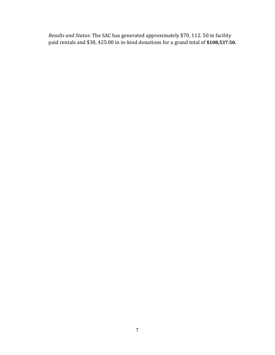*Results and Status*: The SAC has generated approximately \$70, 112. 50 in facility paid rentals and \$38, 425.00 in in-kind donations for a grand total of **\$108,537.50.**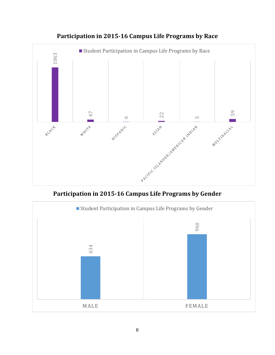

**Participation in 2015-16 Campus Life Programs by Race**

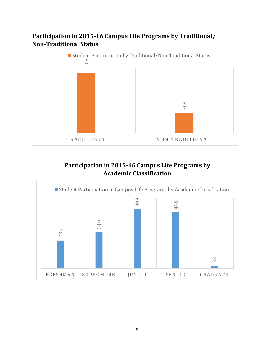# **Participation in 2015-16 Campus Life Programs by Traditional/ Non-Traditional Status**



# **Participation in 2015-16 Campus Life Programs by Academic Classification**

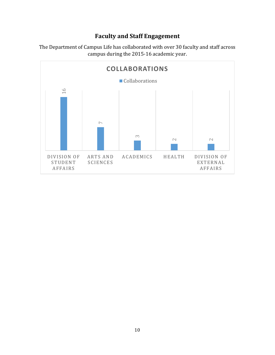## **Faculty and Staff Engagement**



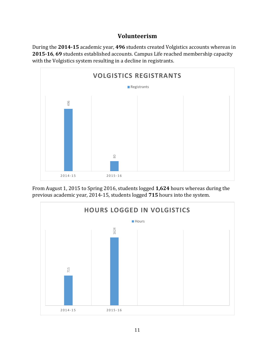## **Volunteerism**

During the **2014-15** academic year, **496** students created Volgistics accounts whereas in **2015-16**, **69** students established accounts. Campus Life reached membership capacity with the Volgistics system resulting in a decline in registrants.



From August 1, 2015 to Spring 2016, students logged **1,624** hours whereas during the

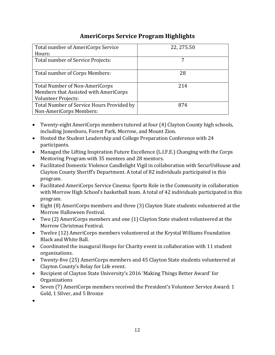# **AmeriCorps Service Program Highlights**

| Total number of AmeriCorps Service        | 22, 275.50 |
|-------------------------------------------|------------|
| Hours:                                    |            |
| Total number of Service Projects:         |            |
|                                           |            |
| Total number of Corps Members:            | 28         |
|                                           |            |
| Total Number of Non-AmeriCorps            | 214        |
| Members that Assisted with AmeriCorps     |            |
| <b>Volunteer Projects:</b>                |            |
| Total Number of Service Hours Provided by | 874        |
| Non-AmeriCorps Members:                   |            |

- Twenty-eight AmeriCorps members tutored at four (4) Clayton County high schools, including Jonesboro, Forest Park, Morrow, and Mount Zion.
- Hosted the Student Leadership and College Preparation Conference with 24 participants.
- Managed the Lifting Inspiration Future Excellence (L.I.F.E.) Changing with the Corps Mentoring Program with 35 mentees and 28 mentors.
- Facilitated Domestic Violence Candlelight Vigil in collaboration with SecurUsHouse and Clayton County Sheriff's Department. A total of 82 individuals participated in this program.
- Facilitated AmeriCorps Service Cinema: Sports Role in the Community in collaboration with Morrow High School's basketball team. A total of 42 individuals participated in this program.
- Eight (8) AmeriCorps members and three (3) Clayton State students volunteered at the Morrow Halloween Festival.
- Two (2) AmeriCorps members and one (1) Clayton State student volunteered at the Morrow Christmas Festival.
- Twelve (12) AmeriCorps members volunteered at the Krystal Williams Foundation Black and White Ball.
- Coordinated the inaugural Hoops for Charity event in collaboration with 11 student organizations.
- Twenty-five (25) AmeriCorps members and 45 Clayton State students volunteered at Clayton County's Relay for Life event.
- Recipient of Clayton State University's 2016 'Making Things Better Award' for Organizations
- Seven (7) AmeriCorps members received the President's Volunteer Service Award: 1 Gold, 1 Silver, and 5 Bronze
- $\bullet$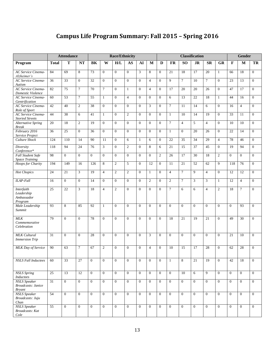# **Campus Life Program Summary: Fall 2015 – Spring 2016**

|                                                                   |                 | <b>Attendance</b> |                | <b>Race/Ethnicity</b> |                | <b>Classification</b> |                |                |                |                |                | Gender         |              |                |                |                |                |                |
|-------------------------------------------------------------------|-----------------|-------------------|----------------|-----------------------|----------------|-----------------------|----------------|----------------|----------------|----------------|----------------|----------------|--------------|----------------|----------------|----------------|----------------|----------------|
| Program                                                           | <b>Total</b>    | T                 | <b>NT</b>      | <b>BK</b>             | W              | H/L                   | AS             | ${\bf AI}$     | M              | D              | FR             | <b>SO</b>      | <b>JR</b>    | <b>SR</b>      | <b>GR</b>      | F              | M              | TR             |
| <b>AC Service Cinema-</b><br>Alzheimer's                          | 84              | 69                | 8              | 73                    | $\mathbf{0}$   | $\Omega$              | $\mathbf{0}$   | 3              | 8              | $\mathbf{0}$   | 21             | 18             | 17           | 20             | $\mathbf{1}$   | 66             | 18             | $\overline{0}$ |
| <b>AC Service Cinema-</b>                                         | $\overline{36}$ | 33                | $\mathbf{0}$   | 32                    | $\overline{0}$ | $\overline{0}$        | $\mathbf{0}$   | $\overline{0}$ | $\overline{4}$ | $\overline{0}$ | 9              | $\overline{7}$ | 10           | $\overline{7}$ | $\Omega$       | 23             | 13             | $\mathbf{0}$   |
| Autism<br>AC Service Cinema-<br>Domestic Violence                 | 82              | 75                | $\tau$         | 70                    | $\tau$         | $\overline{0}$        | $\mathbf{1}$   | $\overline{0}$ | $\overline{4}$ | $\overline{0}$ | 17             | 20             | 20           | 26             | $\Omega$       | 47             | 17             | $\overline{0}$ |
| <b>AC Service Cinema-</b><br>Gentrification                       | 60              | 53                | $\tau$         | 55                    | $\mathbf{1}$   | $\Omega$              | $\overline{4}$ | $\Omega$       | $\Omega$       | $\overline{0}$ | 6              | 13             | 22           | 18             | $\mathbf{1}$   | 44             | 16             | $\overline{0}$ |
| <b>AC Service Cinema-</b><br>Role of Sport                        | 42              | 40                | $\overline{2}$ | 38                    | $\overline{0}$ | $\overline{0}$        | $\mathbf{0}$   | $\overline{0}$ | 3              | $\mathbf{0}$   | $\overline{7}$ | 11             | 14           | 6              | $\mathbf{0}$   | 16             | $\overline{4}$ | $\overline{0}$ |
| <b>AC Service Cinema-</b><br><b>Storied Streets</b>               | 44              | 38                | 6              | 41                    | $\mathbf{1}$   | $\Omega$              | $\overline{2}$ | $\Omega$       | $\Omega$       | $\overline{0}$ | $\mathbf{1}$   | 10             | 14           | 19             | $\Omega$       | 33             | 11             | $\overline{0}$ |
| <b>Alternative Spring</b><br><b>Break</b>                         | 20              | 18                | $\overline{2}$ | 19                    | $\overline{0}$ | $\overline{0}$        | $\theta$       | $\overline{0}$ | $\overline{0}$ | $\mathbf{0}$   | $\tau$         | $\overline{4}$ | 5            | $\overline{4}$ | $\Omega$       | 10             | 10             | $\overline{0}$ |
| February 2016<br>Service Project                                  | 36              | 25                | $\mathbf{0}$   | 36                    | $\mathbf{0}$   | $\Omega$              | $\mathbf{0}$   | $\overline{0}$ | $\mathbf{0}$   | $\mathbf{0}$   | $\mathbf{1}$   | $\mathbf{0}$   | 20           | 26             | $\mathbf{0}$   | 22             | 14             | $\overline{0}$ |
| Culture Shock                                                     | 124             | 110               | 14             | 90                    | 11             | $\overline{0}$        | 6              | $\mathbf{1}$   | 6              | $\overline{0}$ | 22             | 35             | 34           | 29             | $\overline{4}$ | 78             | 46             | $\overline{0}$ |
| Diversity<br>Conference*                                          | 118             | 94                | 24             | 76                    | 3              | $\overline{0}$        | $\overline{2}$ | $\mathbf{0}$   | 8              | 6              | 21             | 15             | 37           | 45             | $\Omega$       | 19             | 94             | $\overline{0}$ |
| Fall Student Safe<br><b>Space Training</b>                        | 98              | $\Omega$          | $\mathbf{0}$   | $\theta$              | $\mathbf{0}$   | $\overline{0}$        | $\mathbf{0}$   | $\overline{0}$ | $\overline{0}$ | $\mathfrak{2}$ | 26             | 17             | 30           | 18             | $\overline{2}$ | $\mathbf{0}$   | $\overline{0}$ | $\overline{0}$ |
| <b>Hoops</b> for Charity                                          | 194             | 149               | 16             | 126                   | 8              | $\overline{2}$        | 5              | $\overline{0}$ | 12             | $\mathbf{0}$   | 11             | 21             | 52           | 62             | $\mathbf{Q}$   | 118            | 76             | $\overline{0}$ |
| <b>Hot Chopics</b>                                                | 24              | 21                | 3              | 19                    | $\overline{4}$ | 2                     | $\overline{2}$ | $\overline{0}$ | $\mathbf{1}$   | $\overline{0}$ | $\overline{4}$ | $\tau$         | 9            | $\overline{4}$ | $\mathbf{0}$   | 12             | 12             | $\overline{0}$ |
| <b>ILAP-Fall</b>                                                  | 16              | $\mathbf{0}$      | $\overline{0}$ | 14                    | $\overline{0}$ | $\overline{0}$        | $\overline{0}$ | $\overline{0}$ | $\overline{2}$ | $\mathbf{0}$   | $\overline{2}$ | $\overline{7}$ | 3            | 3              | $\mathbf{1}$   | 12             | $\overline{4}$ | $\overline{0}$ |
| Interfaith<br>Leadership<br>Ambassador<br>Program                 | 25              | 22                | 3              | 18                    | $\overline{4}$ | 2                     | $\Omega$       | $\Omega$       | $\Omega$       | $\mathbf{0}$   | $\tau$         | 6              | 6            | $\overline{4}$ | 2              | 18             | $\overline{7}$ | $\overline{0}$ |
| Male Leadership<br>Summit                                         | 93              | 8                 | 85             | 92                    | 1              | $\mathbf{0}$          | $\Omega$       | $\theta$       | $\Omega$       | $\overline{0}$ | $\mathbf{0}$   | $\mathbf{0}$   | $\mathbf{0}$ | $\overline{0}$ | $\Omega$       | $\theta$       | 93             | $\mathbf{0}$   |
| MLK<br>Commemorative<br>Celebration                               | 79              | $\mathbf{0}$      | $\overline{0}$ | 78                    | $\Omega$       | $\overline{0}$        | $\mathbf{0}$   | $\overline{0}$ | $\overline{0}$ | $\overline{0}$ | 18             | 21             | 19           | 21             | $\Omega$       | 49             | 30             | $\overline{0}$ |
| <b>MLK</b> Cultural<br><b>Immersion Trip</b>                      | 31              | $\mathbf{0}$      | $\mathbf{0}$   | 28                    | $\mathbf{0}$   | $\overline{0}$        | $\mathbf{0}$   | $\overline{0}$ | 3              | $\mathbf{0}$   | $\mathbf{0}$   | $\mathbf{0}$   | $\mathbf{0}$ | $\theta$       | $\mathbf{0}$   | 21             | 10             | $\overline{0}$ |
| MLK Day of Service                                                | 90              | 63                | $\tau$         | 67                    | 2              | $\mathbf{0}$          | $\mathbf{0}$   | $\overline{0}$ | $\overline{4}$ | $\overline{0}$ | 10             | 15             | 17           | 28             | $\Omega$       | 62             | 28             | $\overline{0}$ |
| <b>NSLS Fall Inductees</b>                                        | 60              | 33                | $27\,$         | $\mathbf{0}$          | $\overline{0}$ | $\Omega$              | $\mathbf{0}$   | $\overline{0}$ | $\mathbf{0}$   | $\overline{0}$ | $\mathbf{1}$   | 8              | 21           | 19             | $\mathbf{0}$   | 42             | 18             | $\overline{0}$ |
| <b>NSLS</b> Spring<br>Inductees                                   | 25              | 13                | 12             | $\theta$              | $\Omega$       | $\overline{0}$        | $\Omega$       | $\theta$       | $\overline{0}$ | $\overline{0}$ | $\overline{0}$ | 10             | 6            | $\overline{9}$ | $\theta$       | $\overline{0}$ | $\theta$       | $\overline{0}$ |
| <b>NSLS</b> Speaker<br><b>Broadcasts: Janice</b><br><b>Bryant</b> | 31              | $\overline{0}$    | $\mathbf{0}$   | $\overline{0}$        | $\overline{0}$ | $\overline{0}$        | $\mathbf{0}$   | $\overline{0}$ | $\overline{0}$ | $\mathbf{0}$   | $\overline{0}$ | $\overline{0}$ | $\mathbf{0}$ | $\mathbf{0}$   | $\overline{0}$ | $\overline{0}$ | $\mathbf{0}$   | $\overline{0}$ |
| NSLS Speaker<br>Broadcasts: Juju<br>Chan                          | 54              | $\overline{0}$    | $\mathbf{0}$   | $\overline{0}$        | $\overline{0}$ | $\overline{0}$        | $\overline{0}$ | $\Omega$       | $\mathbf{0}$   | $\overline{0}$ | $\mathbf{0}$   | $\overline{0}$ | $\mathbf{0}$ | $\overline{0}$ | $\overline{0}$ | $\overline{0}$ | $\theta$       | $\overline{0}$ |
| <b>NSLS</b> Speaker<br><b>Broadcasts:</b> Kat<br>Cole             | $\overline{55}$ | $\overline{0}$    | $\overline{0}$ | $\overline{0}$        | $\overline{0}$ | $\overline{0}$        | $\overline{0}$ | $\overline{0}$ | $\overline{0}$ | $\overline{0}$ | $\overline{0}$ | $\overline{0}$ | $\mathbf{0}$ | $\overline{0}$ | $\overline{0}$ | $\overline{0}$ | $\overline{0}$ | $\mathbf{0}$   |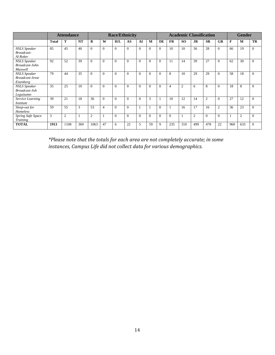|                                                            |              | <b>Attendance</b> |     | <b>Race/Ethnicity</b> |              |          |          |          | <b>Academic Classification</b> |              |                |                |                |           |           | <b>Gender</b> |                |                |
|------------------------------------------------------------|--------------|-------------------|-----|-----------------------|--------------|----------|----------|----------|--------------------------------|--------------|----------------|----------------|----------------|-----------|-----------|---------------|----------------|----------------|
|                                                            | <b>Total</b> | т                 | NT  | B                     | W            | H/L      | AS       | AI       | M                              | DE           | <b>FR</b>      | SO.            | <b>JR</b>      | <b>SR</b> | <b>GR</b> | F             | M              | TR             |
| <b>NSLS</b> Speaker<br>Broadcast:<br>Al Roker              | 85           | 45                | 40  | $\Omega$              | $\Omega$     | $\Omega$ | $\Omega$ | $\Omega$ | $\Omega$                       | $\mathbf{0}$ | 10             | 10             | 36             | 28        | $\Omega$  | 66            | 19             | $\overline{0}$ |
| <b>NSLS</b> Speaker<br>Broadcast-John<br>Maxwell           | 92           | 52                | 39  | $\Omega$              | $\mathbf{0}$ | $\Omega$ | $\Omega$ | $\Omega$ | $\mathbf{0}$                   | $\mathbf{0}$ | 11             | 14             | 39             | 27        | $\theta$  | 62            | 30             | $\overline{0}$ |
| <b>NSLS</b> Speaker<br><b>Broadcast-Jesse</b><br>Eisenberg | 79           | 44                | 35  | $\Omega$              | $\Omega$     | $\Omega$ | $\Omega$ | $\Omega$ | $\Omega$                       | $\Omega$     | 8              | 10             | 29             | 29        | $\Omega$  | 58            | 18             | $\mathbf{0}$   |
| <b>NSLS</b> Speaker<br><b>Broadcast-Joh</b><br>Leguizamo   | 35           | 25                | 10  | $\Omega$              | $\Omega$     | $\Omega$ | $\Omega$ | $\Omega$ | $\Omega$                       | $\Omega$     | $\overline{4}$ | $\overline{2}$ | 6              | 8         | $\Omega$  | 18            | 8              | $\overline{0}$ |
| Service Learning<br><i>Institute</i>                       | 39           | 21                | 18  | 36                    | $\Omega$     | $\Omega$ | $\Omega$ | $\Omega$ | 3                              |              | 10             | 12             | 14             | 2         | $\Omega$  | 27            | 12             | $\overline{0}$ |
| Sleep-out for<br>Homeless                                  | .59          | 55                | 3   | 53                    | 4            | $\Omega$ | $\Omega$ |          |                                | $\Omega$     |                | 16             | 17             | 16        | 2         | 36            | 23             | $\overline{0}$ |
| Spring Safe Space<br>Training                              | 3            | $\overline{c}$    |     | $\overline{2}$        |              | $\Omega$ | $\Omega$ | $\Omega$ | $\Omega$                       | $\Omega$     | $\Omega$       |                | $\overline{2}$ | $\Omega$  | $\Omega$  |               | $\overline{2}$ | $\mathbf{0}$   |
| <b>TOTAL</b>                                               | 1913         | 1108              | 369 | 1063                  | 47           | 6        | 22       | 5        | 59                             | 9            | 235            | 310            | 499            | 478       | 22        | 960           | 633            | $\mathbf{0}$   |

*\*Please note that the totals for each area are not completely accurate; in some instances, Campus Life did not collect data for various demographics.*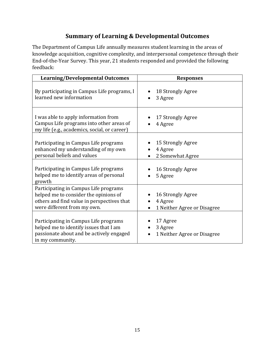# **Summary of Learning & Developmental Outcomes**

The Department of Campus Life annually measures student learning in the areas of knowledge acquisition, cognitive complexity, and interpersonal competence through their End-of-the-Year Survey. This year, 21 students responded and provided the following feedback:

| <b>Learning/Developmental Outcomes</b>                                                                                                                      | <b>Responses</b>                                                         |
|-------------------------------------------------------------------------------------------------------------------------------------------------------------|--------------------------------------------------------------------------|
| By participating in Campus Life programs, I<br>learned new information                                                                                      | 18 Strongly Agree<br>3 Agree                                             |
| I was able to apply information from<br>Campus Life programs into other areas of<br>my life (e.g., academics, social, or career)                            | 17 Strongly Agree<br>4 Agree                                             |
| Participating in Campus Life programs<br>enhanced my understanding of my own<br>personal beliefs and values                                                 | 15 Strongly Agree<br>4 Agree<br>2 Somewhat Agree                         |
| Participating in Campus Life programs<br>helped me to identify areas of personal<br>growth                                                                  | 16 Strongly Agree<br>5 Agree                                             |
| Participating in Campus Life programs<br>helped me to consider the opinions of<br>others and find value in perspectives that<br>were different from my own. | 16 Strongly Agree<br>4 Agree<br>1 Neither Agree or Disagree<br>$\bullet$ |
| Participating in Campus Life programs<br>helped me to identify issues that I am<br>passionate about and be actively engaged<br>in my community.             | 17 Agree<br>3 Agree<br>1 Neither Agree or Disagree                       |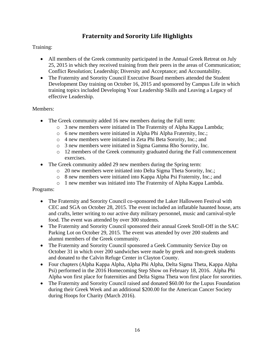# **Fraternity and Sorority Life Highlights**

#### Training:

- All members of the Greek community participated in the Annual Greek Retreat on July 25, 2015 in which they received training from their peers in the areas of Communication; Conflict Resolution; Leadership; Diversity and Acceptance; and Accountability.
- The Fraternity and Sorority Council Executive Board members attended the Student Development Day training on October 16, 2015 and sponsored by Campus Life in which training topics included Developing Your Leadership Skills and Leaving a Legacy of effective Leadership.

#### Members:

- The Greek community added 16 new members during the Fall term:
	- o 3 new members were initiated in The Fraternity of Alpha Kappa Lambda;
	- o 6 new members were initiated in Alpha Phi Alpha Fraternity, Inc.;
	- o 4 new members were initiated in Zeta Phi Beta Sorority, Inc.; and
	- o 3 new members were initiated in Sigma Gamma Rho Sorority, Inc.
	- o 12 members of the Greek community graduated during the Fall commencement exercises.
- The Greek community added 29 new members during the Spring term:
	- o 20 new members were initiated into Delta Sigma Theta Sorority, Inc.;
	- o 8 new members were initiated into Kappa Alpha Psi Fraternity, Inc.; and
	- o 1 new member was initiated into The Fraternity of Alpha Kappa Lambda.

#### Programs:

- The Fraternity and Sorority Council co-sponsored the Laker Halloween Festival with CEC and SGA on October 28, 2015. The event included an inflatable haunted house, arts and crafts, letter writing to our active duty military personnel, music and carnival-style food. The event was attended by over 300 students.
- The Fraternity and Sorority Council sponsored their annual Greek Stroll-Off in the SAC Parking Lot on October 29, 2015. The event was attended by over 200 students and alumni members of the Greek community.
- The Fraternity and Sorority Council sponsored a Geek Community Service Day on October 31 in which over 200 sandwiches were made by greek and non-greek students and donated to the Calvin Refuge Center in Clayton County.
- Four chapters (Alpha Kappa Alpha, Alpha Phi Alpha, Delta Sigma Theta, Kappa Alpha Psi) performed in the 2016 Homecoming Step Show on February 18, 2016. Alpha Phi Alpha won first place for fraternities and Delta Sigma Theta won first place for sororities.
- The Fraternity and Sorority Council raised and donated \$60.00 for the Lupus Foundation during their Greek Week and an additional \$200.00 for the American Cancer Society during Hoops for Charity (March 2016).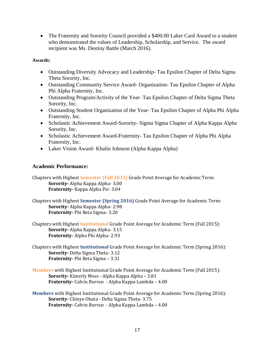• The Fraternity and Sorority Council provided a \$400.00 Laker Card Award to a student who demonstrated the values of Leadership, Scholarship, and Service. The award recipient was Ms. Destiny Battle (March 2016).

#### **Awards:**

- Outstanding Diversity Advocacy and Leadership- Tau Epsilon Chapter of Delta Sigma Theta Sorority, Inc.
- Outstanding Community Service Award- Organization- Tau Epsilon Chapter of Alpha Phi Alpha Fraternity, Inc.
- Outstanding Program/Activity of the Year- Tau Epsilon Chapter of Delta Sigma Theta Sorority, Inc.
- Outstanding Student Organization of the Year- Tau Epsilon Chapter of Alpha Phi Alpha Fraternity, Inc.
- Scholastic Achievement Award-Sorority- Sigma Sigma Chapter of Alpha Kappa Alpha Sorority, Inc.
- Scholastic Achievement Award-Fraternity- Tau Epsilon Chapter of Alpha Phi Alpha Fraternity, Inc.
- Laker Vision Award- Khalin Johnson (Alpha Kappa Alpha)

#### **Academic Performance:**

Chapters with Highest **Semester (Fall 2015)** Grade Point Average for Academic Term: **Sorority-** Alpha Kappa Alpha- 3.00 **Fraternity-** Kappa Alpha Psi- 3.04

Chapters with Highest **Semester (Spring 2016)** Grade Point Average for Academic Term: **Sorority-** Alpha Kappa Alpha- 2.98 **Fraternity-** Phi Beta Sigma- 3.20

- Chapters with Highest **Institutional** Grade Point Average for Academic Term (Fall 2015): **Sorority-** Alpha Kappa Alpha- 3.15 **Fraternity-** Alpha Phi Alpha- 2.93
- Chapters with Highest **Institutional** Grade Point Average for Academic Term (Spring 2016): **Sorority-** Delta Sigma Theta- 3.12 **Fraternity-** Phi Beta Sigma – 3.31
- **Members** with Highest Institutional Grade Point Average for Academic Term (Fall 2015): **Sorority-** Kimerly Moss - Alpha Kappa Alpha – 3.81 **Fraternity-** Calvin Burran - Alpha Kappa Lambda – 4.00
- **Members** with Highest Institutional Grade Point Average for Academic Term (Spring 2016): **Sorority-** Chinye Obata - Delta Sigma Theta- 3.75 **Fraternity-** Calvin Burran - Alpha Kappa Lambda – 4.00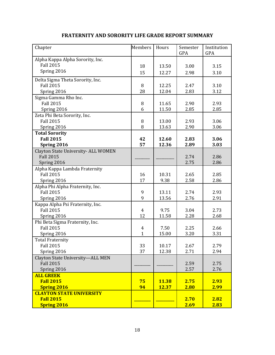| Chapter                             | <b>Members</b> | Hours        | Semester<br>GPA | Institution<br><b>GPA</b> |
|-------------------------------------|----------------|--------------|-----------------|---------------------------|
| Alpha Kappa Alpha Sorority, Inc.    |                |              |                 |                           |
| <b>Fall 2015</b>                    | 18             | 13.50        | 3.00            | 3.15                      |
| Spring 2016                         | 15             | 12.27        | 2.98            | 3.10                      |
|                                     |                |              |                 |                           |
| Delta Sigma Theta Sorority, Inc.    |                |              |                 |                           |
| <b>Fall 2015</b>                    | 8              | 12.25        | 2.47            | 3.10                      |
| Spring 2016                         | 28             | 12.04        | 2.83            | 3.12                      |
| Sigma Gamma Rho Inc.                |                |              |                 |                           |
| <b>Fall 2015</b>                    | 8              | 11.65        | 2.90            | 2.93                      |
| Spring 2016                         | 6              | 11.50        | 2.85            | 2.85                      |
| Zeta Phi Beta Sorority, Inc.        |                |              |                 |                           |
| <b>Fall 2015</b>                    | 8              | 13.00        | 2.93            | 3.06                      |
| Spring 2016                         | 8              | 13.63        | 2.90            | 3.06                      |
| <b>Total Sorority</b>               |                |              |                 |                           |
| <b>Fall 2015</b>                    | 42             | 12.60        | 2.83            | 3.06                      |
| Spring 2016                         | 57             | 12.36        | 2.89            | 3.03                      |
| Clayton State University- ALL WOMEN |                |              |                 |                           |
| <b>Fall 2015</b>                    |                |              | 2.74            | 2.86                      |
| Spring 2016                         |                |              | 2.75            | 2.86                      |
| Alpha Kappa Lambda Fraternity       |                |              |                 |                           |
| <b>Fall 2015</b>                    | 16             | 10.31        | 2.65            | 2.85                      |
| Spring 2016                         | 17             | 9.38         | 2.58            | 2.86                      |
| Alpha Phi Alpha Fraternity, Inc.    |                |              |                 |                           |
| <b>Fall 2015</b>                    | 9              | 13.11        | 2.74            | 2.93                      |
| Spring 2016                         | 9              | 13.56        | 2.76            | 2.91                      |
| Kappa Alpha Psi Fraternity, Inc.    |                |              |                 |                           |
| <b>Fall 2015</b>                    | 4              | 9.75         | 3.04            | 2.73                      |
| Spring 2016                         | 12             | 11.58        | 2.28            | 2.68                      |
| Phi Beta Sigma Fraternity, Inc.     |                |              |                 |                           |
| <b>Fall 2015</b>                    | 4              | 7.50         | 2.25            | 2.66                      |
| Spring 2016                         | $\mathbf{1}$   | 15.00        | 3.20            | 3.31                      |
| <b>Total Fraternity</b>             |                |              |                 |                           |
| Fall 2015                           | 33             | 10.17        | 2.67            | 2.79                      |
| Spring 2016                         | 37             | 12.38        | 2.71            | 2.94                      |
| Clayton State University-ALL MEN    |                |              |                 |                           |
| <b>Fall 2015</b>                    |                |              | 2.59            | 2.75                      |
| Spring 2016                         |                |              | 2.57            | 2.76                      |
| <b>ALL GREEK</b>                    |                |              |                 |                           |
| <b>Fall 2015</b>                    | 75             | <b>11.38</b> | 2.75            | 2.93                      |
| <b>Spring 2016</b>                  | 94             | 12.37        | 2.80            | 2.99                      |
| <b>CLAYTON STATE UNIVERSITY</b>     |                |              |                 |                           |
| <b>Fall 2015</b>                    |                |              | 2.70            | 2.82                      |
| <b>Spring 2016</b>                  |                |              | 2.69            | 2.83                      |

#### **FRATERNITY AND SORORITY LIFE GRADE REPORT SUMMARY**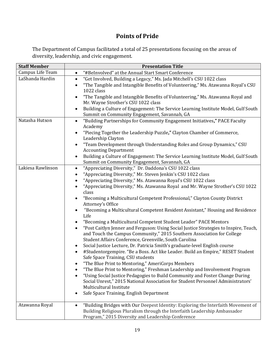# **Points of Pride**

The Department of Campus facilitated a total of 25 presentations focusing on the areas of diversity, leadership, and civic engagement.

| <b>Staff Member</b> | <b>Presentation Title</b>                                                                                                                                                                                                                                                                                                                                                                                                                                                                                                                                                                                                                                                                                                                                                                                                                                                                                                                                                                                                                                                                                                                                                                                                                                                                                                                                                                                                                                                                                              |
|---------------------|------------------------------------------------------------------------------------------------------------------------------------------------------------------------------------------------------------------------------------------------------------------------------------------------------------------------------------------------------------------------------------------------------------------------------------------------------------------------------------------------------------------------------------------------------------------------------------------------------------------------------------------------------------------------------------------------------------------------------------------------------------------------------------------------------------------------------------------------------------------------------------------------------------------------------------------------------------------------------------------------------------------------------------------------------------------------------------------------------------------------------------------------------------------------------------------------------------------------------------------------------------------------------------------------------------------------------------------------------------------------------------------------------------------------------------------------------------------------------------------------------------------------|
| Campus Life Team    | "#BeInvolved" at the Annual Start Smart Conference<br>$\bullet$                                                                                                                                                                                                                                                                                                                                                                                                                                                                                                                                                                                                                                                                                                                                                                                                                                                                                                                                                                                                                                                                                                                                                                                                                                                                                                                                                                                                                                                        |
| LaShanda Hardin     | "Get Involved, Building a Legacy," Ms. Jada Mitchell's CSU 1022 class<br>$\bullet$<br>"The Tangible and Intangible Benefits of Volunteering," Ms. Atawanna Royal's CSU<br>$\bullet$<br>1022 class                                                                                                                                                                                                                                                                                                                                                                                                                                                                                                                                                                                                                                                                                                                                                                                                                                                                                                                                                                                                                                                                                                                                                                                                                                                                                                                      |
|                     | "The Tangible and Intangible Benefits of Volunteering," Ms. Atawanna Royal and<br>$\bullet$<br>Mr. Wayne Strother's CSU 1022 class                                                                                                                                                                                                                                                                                                                                                                                                                                                                                                                                                                                                                                                                                                                                                                                                                                                                                                                                                                                                                                                                                                                                                                                                                                                                                                                                                                                     |
|                     | Building a Culture of Engagement: The Service Learning Institute Model, Gulf South<br>$\bullet$<br>Summit on Community Engagement, Savannah, GA                                                                                                                                                                                                                                                                                                                                                                                                                                                                                                                                                                                                                                                                                                                                                                                                                                                                                                                                                                                                                                                                                                                                                                                                                                                                                                                                                                        |
| Natasha Hutson      | "Building Partnerships for Community Engagement Initiatives," PACE Faculty<br>$\bullet$<br>Academy<br>"Piecing Together the Leadership Puzzle," Clayton Chamber of Commerce,<br>$\bullet$<br>Leadership Clayton<br>"Team Development through Understanding Roles and Group Dynamics," CSU<br>$\bullet$                                                                                                                                                                                                                                                                                                                                                                                                                                                                                                                                                                                                                                                                                                                                                                                                                                                                                                                                                                                                                                                                                                                                                                                                                 |
|                     | <b>Accounting Department</b><br>Building a Culture of Engagement: The Service Learning Institute Model, Gulf South<br>Summit on Community Engagement, Savannah, GA                                                                                                                                                                                                                                                                                                                                                                                                                                                                                                                                                                                                                                                                                                                                                                                                                                                                                                                                                                                                                                                                                                                                                                                                                                                                                                                                                     |
| Lakiesa Rawlinson   | "Appreciating Diversity," Dr. Daddona's CSU 1022 class<br>$\bullet$<br>"Appreciating Diversity," Mr. Steven Jenkin's CSU 1022 class<br>$\bullet$<br>"Appreciating Diversity," Ms. Atawanna Royal's CSU 1022 class<br>$\bullet$<br>"Appreciating Diversity," Ms. Atawanna Royal and Mr. Wayne Strother's CSU 1022<br>$\bullet$<br>class<br>"Becoming a Multicultural Competent Professional," Clayton County District<br>$\bullet$<br>Attorney's Office<br>"Becoming a Multicultural Competent Resident Assistant," Housing and Residence<br>$\bullet$<br>Life<br>"Becoming a Multicultural Competent Student Leader" PACE Mentors<br>$\bullet$<br>"Post Caitlyn Jenner and Ferguson: Using Social Justice Strategies to Inspire, Teach,<br>$\bullet$<br>and Touch the Campus Community," 2015 Southern Association for College<br>Student Affairs Conference, Greenville, South Carolina<br>Social Justice Lecture, Dr. Patricia Smith's graduate-level English course<br>#Studentorgempire. "Be a Boss. Act like Leader. Build an Empire," RESET Student<br>$\bullet$<br>Safe Space Training, CSU students<br>"The Blue Print to Mentoring," AmeriCorps Members<br>"The Blue Print to Mentoring," Freshman Leadership and Involvement Program<br>$\bullet$<br>"Using Social Justice Pedagogies to Build Community and Foster Change During<br>$\bullet$<br>Social Unrest," 2015 National Association for Student Personnel Administrators'<br>Multicultural Institute<br>Safe Space Training, English Department<br>٠ |
| Atawanna Royal      | "Building Bridges with Our Deepest Identity: Exploring the Interfaith Movement of<br>$\bullet$<br>Building Religious Pluralism through the Interfaith Leadership Ambassador<br>Program," 2015 Diversity and Leadership Conference                                                                                                                                                                                                                                                                                                                                                                                                                                                                                                                                                                                                                                                                                                                                                                                                                                                                                                                                                                                                                                                                                                                                                                                                                                                                                      |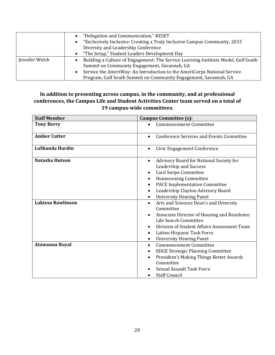|                | "Delegation and Communication," RESET                                                  |
|----------------|----------------------------------------------------------------------------------------|
|                | "Exclusively Inclusive: Creating a Truly Inclusive Campus Community, 2015<br>$\bullet$ |
|                | Diversity and Leadership Conference                                                    |
|                | "The Setup," Student Leaders Development Day<br>$\bullet$                              |
| Jennifer Welch | Building a Culture of Engagement: The Service Learning Institute Model, Gulf South     |
|                | Summit on Community Engagement, Savannah, GA                                           |
|                | Service the AmeriWay: An Introduction to the AmeriCorps National Service<br>$\bullet$  |
|                | Program, Gulf South Summit on Community Engagement, Savannah, GA                       |

#### **In addition to presenting across campus, in the community, and at professional conferences, the Campus Life and Student Activities Center team served on a total of 19 campus-wide committees.**

| <b>Staff Member</b>   | <b>Campus Committee (s):</b>                                                                                                                                                                                                                                 |
|-----------------------|--------------------------------------------------------------------------------------------------------------------------------------------------------------------------------------------------------------------------------------------------------------|
| <b>Tony Berry</b>     | <b>Commencement Committee</b>                                                                                                                                                                                                                                |
| <b>Amber Cutter</b>   | <b>Conference Services and Events Committee</b>                                                                                                                                                                                                              |
| LaShanda Hardin       | Civic Engagement Conference<br>$\bullet$                                                                                                                                                                                                                     |
| <b>Natasha Hutson</b> | Advisory Board for National Society for<br>Leadership and Success<br><b>Card Swipe Committee</b><br><b>Homecoming Committee</b><br><b>PACE Implementation Committee</b><br>Leadership Clayton Advisory Board<br><b>University Hearing Panel</b><br>$\bullet$ |
| Lakiesa Rawlinson     | Arts and Sciences Dean's and Diversity<br>$\bullet$<br>Committee<br>Associate Director of Housing and Residence<br>Life Search Committee<br>Division of Student Affairs Assessment Team<br>Latino-Hispanic Task Force<br><b>University Hearing Panel</b>     |
| Atawanna Royal        | <b>Commencement Committee</b><br>$\bullet$<br><b>EDGE Strategic Planning Committee</b><br>٠<br>President's Making Things Better Awards<br>Committee<br><b>Sexual Assault Task Force</b><br><b>Staff Council</b>                                              |